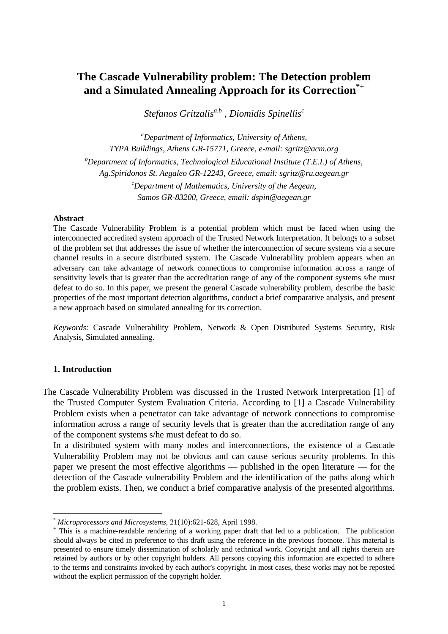# **The Cascade Vulnerability problem: The Detection problem and a Simulated Annealing Approach for its Correction\*+**

*Stefanos Gritzalisa,b , Diomidis Spinellis<sup>c</sup>*

*<sup>a</sup>Department of Informatics, University of Athens, TYPA Buildings, Athens GR-15771, Greece, e-mail: sgritz@acm.org <sup>b</sup>Department of Informatics, Technological Educational Institute (T.E.I.) of Athens, Ag.Spiridonos St. Aegaleo GR-12243, Greece, email: sgritz@ru.aegean.gr <sup>c</sup>Department of Mathematics, University of the Aegean, Samos GR-83200, Greece, email: dspin@aegean.gr*

# **Abstract**

The Cascade Vulnerability Problem is a potential problem which must be faced when using the interconnected accredited system approach of the Trusted Network Interpretation. It belongs to a subset of the problem set that addresses the issue of whether the interconnection of secure systems via a secure channel results in a secure distributed system. The Cascade Vulnerability problem appears when an adversary can take advantage of network connections to compromise information across a range of sensitivity levels that is greater than the accreditation range of any of the component systems s/he must defeat to do so. In this paper, we present the general Cascade vulnerability problem, describe the basic properties of the most important detection algorithms, conduct a brief comparative analysis, and present a new approach based on simulated annealing for its correction.

*Keywords:* Cascade Vulnerability Problem, Network & Open Distributed Systems Security, Risk Analysis, Simulated annealing.

# **1. Introduction**

 $\overline{a}$ 

The Cascade Vulnerability Problem was discussed in the Trusted Network Interpretation [1] of the Trusted Computer System Evaluation Criteria. According to [1] a Cascade Vulnerability Problem exists when a penetrator can take advantage of network connections to compromise information across a range of security levels that is greater than the accreditation range of any of the component systems s/he must defeat to do so.

In a distributed system with many nodes and interconnections, the existence of a Cascade Vulnerability Problem may not be obvious and can cause serious security problems. In this paper we present the most effective algorithms — published in the open literature — for the detection of the Cascade vulnerability Problem and the identification of the paths along which the problem exists. Then, we conduct a brief comparative analysis of the presented algorithms.

<sup>\*</sup> *Microprocessors and Microsystems*, 21(10):621-628, April 1998.

<sup>+</sup> This is a machine-readable rendering of a working paper draft that led to a publication. The publication should always be cited in preference to this draft using the reference in the previous footnote. This material is presented to ensure timely dissemination of scholarly and technical work. Copyright and all rights therein are retained by authors or by other copyright holders. All persons copying this information are expected to adhere to the terms and constraints invoked by each author's copyright. In most cases, these works may not be reposted without the explicit permission of the copyright holder.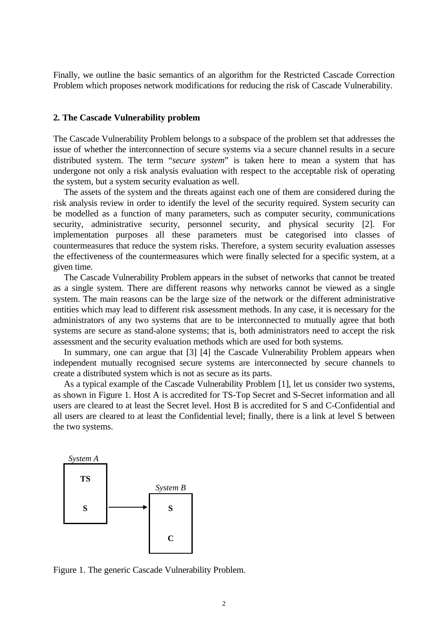Finally, we outline the basic semantics of an algorithm for the Restricted Cascade Correction Problem which proposes network modifications for reducing the risk of Cascade Vulnerability.

#### **2. The Cascade Vulnerability problem**

The Cascade Vulnerability Problem belongs to a subspace of the problem set that addresses the issue of whether the interconnection of secure systems via a secure channel results in a secure distributed system. The term "*secure system*" is taken here to mean a system that has undergone not only a risk analysis evaluation with respect to the acceptable risk of operating the system, but a system security evaluation as well.

The assets of the system and the threats against each one of them are considered during the risk analysis review in order to identify the level of the security required. System security can be modelled as a function of many parameters, such as computer security, communications security, administrative security, personnel security, and physical security [2]. For implementation purposes all these parameters must be categorised into classes of countermeasures that reduce the system risks. Therefore, a system security evaluation assesses the effectiveness of the countermeasures which were finally selected for a specific system, at a given time.

The Cascade Vulnerability Problem appears in the subset of networks that cannot be treated as a single system. There are different reasons why networks cannot be viewed as a single system. The main reasons can be the large size of the network or the different administrative entities which may lead to different risk assessment methods. In any case, it is necessary for the administrators of any two systems that are to be interconnected to mutually agree that both systems are secure as stand-alone systems; that is, both administrators need to accept the risk assessment and the security evaluation methods which are used for both systems.

In summary, one can argue that [3] [4] the Cascade Vulnerability Problem appears when independent mutually recognised secure systems are interconnected by secure channels to create a distributed system which is not as secure as its parts.

As a typical example of the Cascade Vulnerability Problem [1], let us consider two systems, as shown in Figure 1. Host A is accredited for TS-Top Secret and S-Secret information and all users are cleared to at least the Secret level. Host B is accredited for S and C-Confidential and all users are cleared to at least the Confidential level; finally, there is a link at level S between the two systems.



Figure 1. The generic Cascade Vulnerability Problem.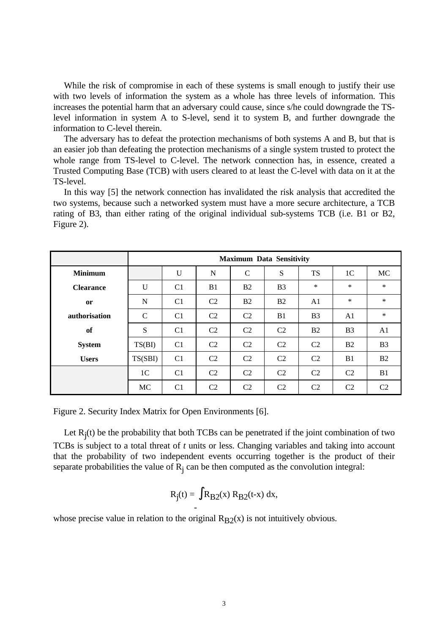While the risk of compromise in each of these systems is small enough to justify their use with two levels of information the system as a whole has three levels of information. This increases the potential harm that an adversary could cause, since s/he could downgrade the TSlevel information in system A to S-level, send it to system B, and further downgrade the information to C-level therein.

The adversary has to defeat the protection mechanisms of both systems A and B, but that is an easier job than defeating the protection mechanisms of a single system trusted to protect the whole range from TS-level to C-level. The network connection has, in essence, created a Trusted Computing Base (TCB) with users cleared to at least the C-level with data on it at the TS-level.

In this way [5] the network connection has invalidated the risk analysis that accredited the two systems, because such a networked system must have a more secure architecture, a TCB rating of B3, than either rating of the original individual sub-systems TCB (i.e. B1 or B2, Figure 2).

|                  | <b>Maximum Data Sensitivity</b> |                |                |                |                |                |                |                |
|------------------|---------------------------------|----------------|----------------|----------------|----------------|----------------|----------------|----------------|
| <b>Minimum</b>   |                                 | U              | N              | $\mathcal{C}$  | S              | <b>TS</b>      | 1 <sup>C</sup> | MC             |
| <b>Clearance</b> | U                               | C <sub>1</sub> | B <sub>1</sub> | B <sub>2</sub> | B <sub>3</sub> | $\ast$         | $\ast$         | $\ast$         |
| <sub>or</sub>    | N                               | C <sub>1</sub> | C <sub>2</sub> | B <sub>2</sub> | B <sub>2</sub> | A <sub>1</sub> | $\ast$         | $\ast$         |
| authorisation    | $\mathcal{C}$                   | C <sub>1</sub> | C <sub>2</sub> | C <sub>2</sub> | <b>B</b> 1     | B <sub>3</sub> | A1             | $\ast$         |
| of               | S                               | C <sub>1</sub> | C <sub>2</sub> | C <sub>2</sub> | C <sub>2</sub> | B <sub>2</sub> | B <sub>3</sub> | A1             |
| <b>System</b>    | TS(BI)                          | C <sub>1</sub> | C <sub>2</sub> | C <sub>2</sub> | C <sub>2</sub> | C <sub>2</sub> | B <sub>2</sub> | B <sub>3</sub> |
| <b>Users</b>     | TS(SBI)                         | C <sub>1</sub> | C <sub>2</sub> | C <sub>2</sub> | C <sub>2</sub> | C <sub>2</sub> | B <sub>1</sub> | B <sub>2</sub> |
|                  | 1 <sup>C</sup>                  | C <sub>1</sub> | C <sub>2</sub> | C <sub>2</sub> | C <sub>2</sub> | C <sub>2</sub> | C <sub>2</sub> | B <sub>1</sub> |
|                  | MC                              | C1             | C <sub>2</sub> | C <sub>2</sub> | C <sub>2</sub> | C <sub>2</sub> | C <sub>2</sub> | C <sub>2</sub> |

Figure 2. Security Index Matrix for Open Environments [6].

Let  $R<sub>j</sub>(t)$  be the probability that both TCBs can be penetrated if the joint combination of two TCBs is subject to a total threat of *t* units or less. Changing variables and taking into account that the probability of two independent events occurring together is the product of their separate probabilities the value of  $R_j$  can be then computed as the convolution integral:

$$
R_j(t) = \int R_{B2}(x) R_{B2}(t-x) dx,
$$

whose precise value in relation to the original  $R_{B2}(x)$  is not intuitively obvious.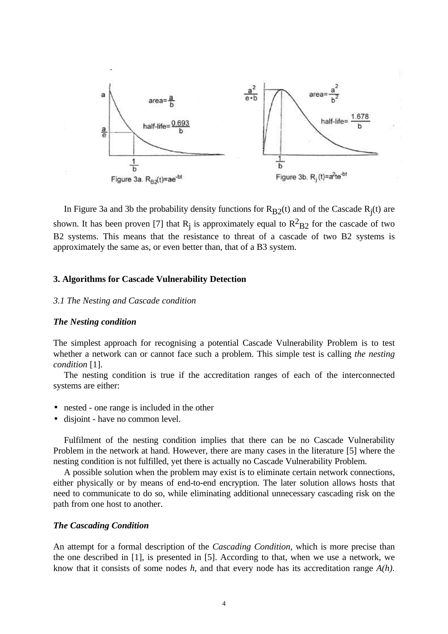

In Figure 3a and 3b the probability density functions for  $R_{B2}(t)$  and of the Cascade  $R_j(t)$  are shown. It has been proven [7] that  $R_j$  is approximately equal to  $R_{B2}^2$  for the cascade of two B2 systems. This means that the resistance to threat of a cascade of two B2 systems is approximately the same as, or even better than, that of a B3 system.

## **3. Algorithms for Cascade Vulnerability Detection**

### *3.1 The Nesting and Cascade condition*

#### *The Nesting condition*

The simplest approach for recognising a potential Cascade Vulnerability Problem is to test whether a network can or cannot face such a problem. This simple test is calling *the nesting condition* [1].

The nesting condition is true if the accreditation ranges of each of the interconnected systems are either:

- nested one range is included in the other
- disjoint have no common level.

Fulfilment of the nesting condition implies that there can be no Cascade Vulnerability Problem in the network at hand. However, there are many cases in the literature [5] where the nesting condition is not fulfilled, yet there is actually no Cascade Vulnerability Problem.

A possible solution when the problem may exist is to eliminate certain network connections, either physically or by means of end-to-end encryption. The later solution allows hosts that need to communicate to do so, while eliminating additional unnecessary cascading risk on the path from one host to another.

#### *The Cascading Condition*

An attempt for a formal description of the *Cascading Condition*, which is more precise than the one described in [1], is presented in [5]. According to that, when we use a network, we know that it consists of some nodes *h*, and that every node has its accreditation range *A(h).*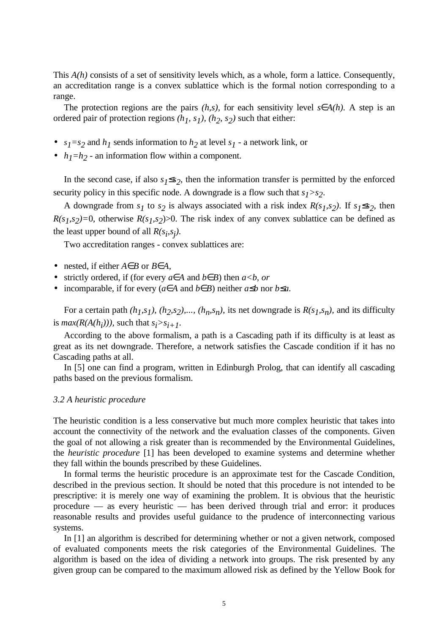This *A(h)* consists of a set of sensitivity levels which, as a whole, form a lattice. Consequently, an accreditation range is a convex sublattice which is the formal notion corresponding to a range.

The protection regions are the pairs  $(h, s)$ , for each sensitivity level  $s\hat{I}A(h)$ . A step is an ordered pair of protection regions  $(h_1, s_1)$ ,  $(h_2, s_2)$  such that either:

- $s_1 = s_2$  and  $h_1$  sends information to  $h_2$  at level  $s_1$  a network link, or
- $h_1=h_2$  an information flow within a component.

In the second case, if also  $s_1$ *£* $s_2$ , then the information transfer is permitted by the enforced security policy in this specific node. A downgrade is a flow such that *s1>s2* .

A downgrade from  $s_1$  to  $s_2$  is always associated with a risk index  $R(s_1, s_2)$ . If  $s_1 \mathbf{\pounds} s_2$ , then  $R(s_1, s_2) = 0$ , otherwise  $R(s_1, s_2) > 0$ . The risk index of any convex sublattice can be defined as the least upper bound of all  $R(s_i, s_j)$ .

Two accreditation ranges - convex sublattices are:

- nested, if either  $\widehat{A} \widehat{I} \widehat{B}$  or  $\widehat{B} \widehat{I} \widehat{A}$ ,
- strictly ordered, if (for every  $a\hat{I}A$  and  $b\hat{I}B$ ) then  $a \leq b$ , or
- incomparable, if for every  $(a\hat{I}A$  and  $b\hat{I}B)$  neither  $a\hat{I}b$  nor  $b\hat{I}a$ .

For a certain path  $(h_1, s_1)$ ,  $(h_2, s_2)$ ,...,  $(h_n, s_n)$ , its net downgrade is  $R(s_1, s_n)$ , and its difficulty is  $max(R(A(h_i)))$ , such that  $s_i > s_{i+1}$ .

According to the above formalism, a path is a Cascading path if its difficulty is at least as great as its net downgrade. Therefore, a network satisfies the Cascade condition if it has no Cascading paths at all.

In [5] one can find a program, written in Edinburgh Prolog, that can identify all cascading paths based on the previous formalism.

#### *3.2 A heuristic procedure*

The heuristic condition is a less conservative but much more complex heuristic that takes into account the connectivity of the network and the evaluation classes of the components. Given the goal of not allowing a risk greater than is recommended by the Environmental Guidelines, the *heuristic procedure* [1] has been developed to examine systems and determine whether they fall within the bounds prescribed by these Guidelines.

In formal terms the heuristic procedure is an approximate test for the Cascade Condition, described in the previous section. It should be noted that this procedure is not intended to be prescriptive: it is merely one way of examining the problem. It is obvious that the heuristic procedure — as every heuristic — has been derived through trial and error: it produces reasonable results and provides useful guidance to the prudence of interconnecting various systems.

In [1] an algorithm is described for determining whether or not a given network, composed of evaluated components meets the risk categories of the Environmental Guidelines. The algorithm is based on the idea of dividing a network into groups. The risk presented by any given group can be compared to the maximum allowed risk as defined by the Yellow Book for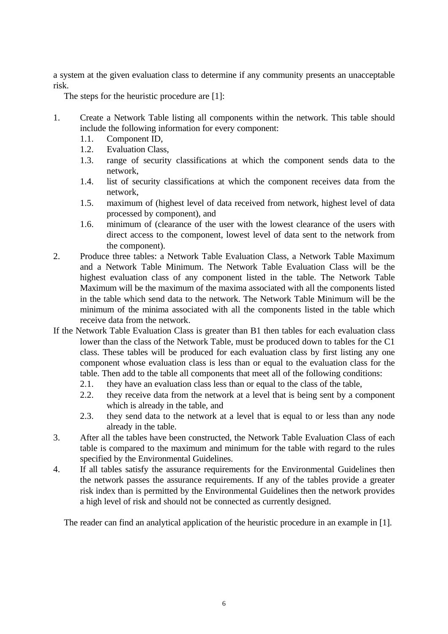a system at the given evaluation class to determine if any community presents an unacceptable risk.

The steps for the heuristic procedure are [1]:

- 1. Create a Network Table listing all components within the network. This table should include the following information for every component:
	- 1.1. Component ID,
	- 1.2. Evaluation Class,
	- 1.3. range of security classifications at which the component sends data to the network,
	- 1.4. list of security classifications at which the component receives data from the network,
	- 1.5. maximum of (highest level of data received from network, highest level of data processed by component), and
	- 1.6. minimum of (clearance of the user with the lowest clearance of the users with direct access to the component, lowest level of data sent to the network from the component).
- 2. Produce three tables: a Network Table Evaluation Class, a Network Table Maximum and a Network Table Minimum. The Network Table Evaluation Class will be the highest evaluation class of any component listed in the table. The Network Table Maximum will be the maximum of the maxima associated with all the components listed in the table which send data to the network. The Network Table Minimum will be the minimum of the minima associated with all the components listed in the table which receive data from the network.
- If the Network Table Evaluation Class is greater than B1 then tables for each evaluation class lower than the class of the Network Table, must be produced down to tables for the C1 class. These tables will be produced for each evaluation class by first listing any one component whose evaluation class is less than or equal to the evaluation class for the table. Then add to the table all components that meet all of the following conditions:
	- 2.1. they have an evaluation class less than or equal to the class of the table,
	- 2.2. they receive data from the network at a level that is being sent by a component which is already in the table, and
	- 2.3. they send data to the network at a level that is equal to or less than any node already in the table.
- 3. After all the tables have been constructed, the Network Table Evaluation Class of each table is compared to the maximum and minimum for the table with regard to the rules specified by the Environmental Guidelines.
- 4. If all tables satisfy the assurance requirements for the Environmental Guidelines then the network passes the assurance requirements. If any of the tables provide a greater risk index than is permitted by the Environmental Guidelines then the network provides a high level of risk and should not be connected as currently designed.

The reader can find an analytical application of the heuristic procedure in an example in [1].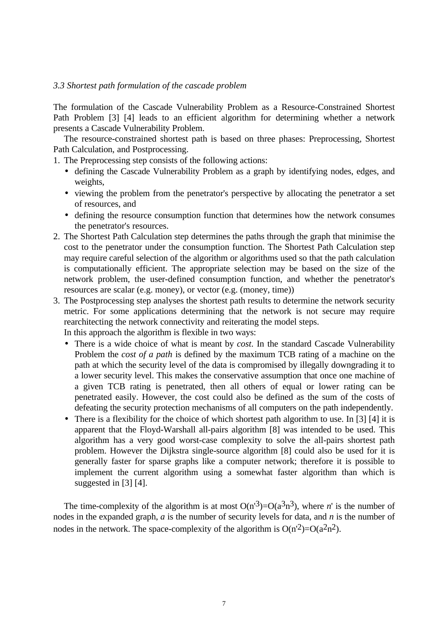## *3.3 Shortest path formulation of the cascade problem*

The formulation of the Cascade Vulnerability Problem as a Resource-Constrained Shortest Path Problem [3] [4] leads to an efficient algorithm for determining whether a network presents a Cascade Vulnerability Problem.

The resource-constrained shortest path is based on three phases: Preprocessing, Shortest Path Calculation, and Postprocessing.

1. The Preprocessing step consists of the following actions:

- defining the Cascade Vulnerability Problem as a graph by identifying nodes, edges, and weights,
- viewing the problem from the penetrator's perspective by allocating the penetrator a set of resources, and
- defining the resource consumption function that determines how the network consumes the penetrator's resources.
- 2. The Shortest Path Calculation step determines the paths through the graph that minimise the cost to the penetrator under the consumption function. The Shortest Path Calculation step may require careful selection of the algorithm or algorithms used so that the path calculation is computationally efficient. The appropriate selection may be based on the size of the network problem, the user-defined consumption function, and whether the penetrator's resources are scalar (e.g. money), or vector (e.g. (money, time))
- 3. The Postprocessing step analyses the shortest path results to determine the network security metric. For some applications determining that the network is not secure may require rearchitecting the network connectivity and reiterating the model steps.

In this approach the algorithm is flexible in two ways:

- There is a wide choice of what is meant by *cost*. In the standard Cascade Vulnerability Problem the *cost of a path* is defined by the maximum TCB rating of a machine on the path at which the security level of the data is compromised by illegally downgrading it to a lower security level. This makes the conservative assumption that once one machine of a given TCB rating is penetrated, then all others of equal or lower rating can be penetrated easily. However, the cost could also be defined as the sum of the costs of defeating the security protection mechanisms of all computers on the path independently.
- There is a flexibility for the choice of which shortest path algorithm to use. In [3] [4] it is apparent that the Floyd-Warshall all-pairs algorithm [8] was intended to be used. This algorithm has a very good worst-case complexity to solve the all-pairs shortest path problem. However the Dijkstra single-source algorithm [8] could also be used for it is generally faster for sparse graphs like a computer network; therefore it is possible to implement the current algorithm using a somewhat faster algorithm than which is suggested in [3] [4].

The time-complexity of the algorithm is at most  $O(n^3) = O(a^3n^3)$ , where *n*' is the number of nodes in the expanded graph, *a* is the number of security levels for data, and *n* is the number of nodes in the network. The space-complexity of the algorithm is  $O(n^2) = O(a^2n^2)$ .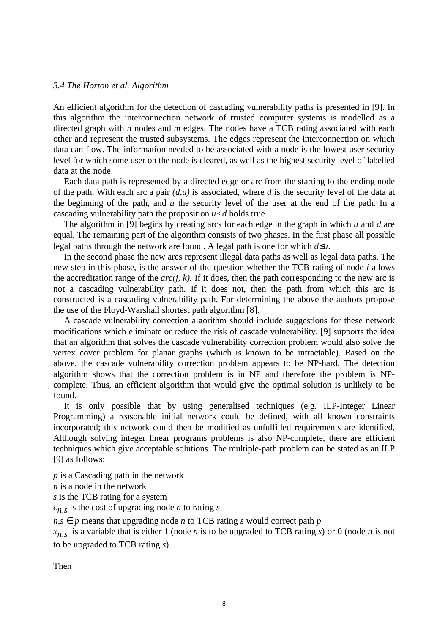#### *3.4 The Horton et al. Algorithm*

An efficient algorithm for the detection of cascading vulnerability paths is presented in [9]. In this algorithm the interconnection network of trusted computer systems is modelled as a directed graph with *n* nodes and *m* edges. The nodes have a TCB rating associated with each other and represent the trusted subsystems. The edges represent the interconnection on which data can flow. The information needed to be associated with a node is the lowest user security level for which some user on the node is cleared, as well as the highest security level of labelled data at the node.

Each data path is represented by a directed edge or arc from the starting to the ending node of the path. With each arc a pair *(d,u)* is associated, where *d* is the security level of the data at the beginning of the path, and *u* the security level of the user at the end of the path. In a cascading vulnerability path the proposition *u<d* holds true.

The algorithm in [9] begins by creating arcs for each edge in the graph in which *u* and *d* are equal. The remaining part of the algorithm consists of two phases. In the first phase all possible legal paths through the network are found. A legal path is one for which *d£u*.

In the second phase the new arcs represent illegal data paths as well as legal data paths. The new step in this phase, is the answer of the question whether the TCB rating of node *i* allows the accreditation range of the  $arc(i, k)$ . If it does, then the path corresponding to the new arc is not a cascading vulnerability path. If it does not, then the path from which this arc is constructed is a cascading vulnerability path. For determining the above the authors propose the use of the Floyd-Warshall shortest path algorithm [8].

A cascade vulnerability correction algorithm should include suggestions for these network modifications which eliminate or reduce the risk of cascade vulnerability. [9] supports the idea that an algorithm that solves the cascade vulnerability correction problem would also solve the vertex cover problem for planar graphs (which is known to be intractable). Based on the above, the cascade vulnerability correction problem appears to be NP-hard. The detection algorithm shows that the correction problem is in NP and therefore the problem is NPcomplete. Thus, an efficient algorithm that would give the optimal solution is unlikely to be found.

It is only possible that by using generalised techniques (e.g. ILP-Integer Linear Programming) a reasonable initial network could be defined, with all known constraints incorporated; this network could then be modified as unfulfilled requirements are identified. Although solving integer linear programs problems is also NP-complete, there are efficient techniques which give acceptable solutions. The multiple-path problem can be stated as an ILP [9] as follows:

*p* is a Cascading path in the network

*n* is a node in the network

*s* is the TCB rating for a system

 $c_{n,s}$  is the cost of upgrading node *n* to rating *s* 

*n,s Î p* means that upgrading node *n* to TCB rating *s* would correct path *p*

 $x_n$ , is a variable that is either 1 (node *n* is to be upgraded to TCB rating *s*) or 0 (node *n* is not to be upgraded to TCB rating *s*).

Then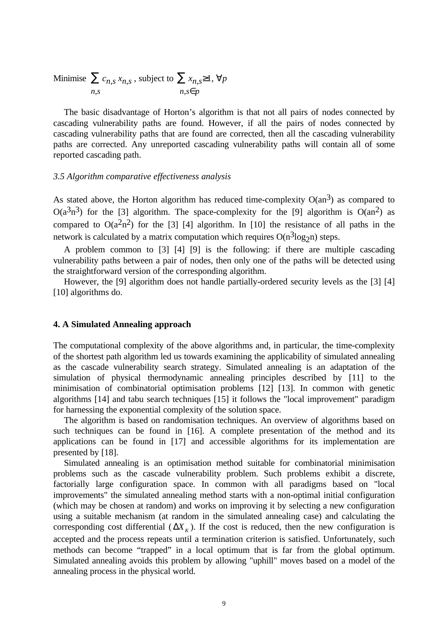Minimise  $\sum c_{n,s} x_{n,s}$ , subject to  $\sum x_{n,s} \geq 1$ ,  $\forall p$  $n, s\hat{I}$ <sup>*n*</sup>

The basic disadvantage of Horton's algorithm is that not all pairs of nodes connected by cascading vulnerability paths are found. However, if all the pairs of nodes connected by cascading vulnerability paths that are found are corrected, then all the cascading vulnerability paths are corrected. Any unreported cascading vulnerability paths will contain all of some reported cascading path.

## *3.5 Algorithm comparative effectiveness analysis*

As stated above, the Horton algorithm has reduced time-complexity  $O(an^3)$  as compared to  $O(a^3n^3)$  for the [3] algorithm. The space-complexity for the [9] algorithm is  $O(an^2)$  as compared to  $O(a^2n^2)$  for the [3] [4] algorithm. In [10] the resistance of all paths in the network is calculated by a matrix computation which requires  $O(n^3 \log_2 n)$  steps.

A problem common to [3] [4] [9] is the following: if there are multiple cascading vulnerability paths between a pair of nodes, then only one of the paths will be detected using the straightforward version of the corresponding algorithm.

However, the [9] algorithm does not handle partially-ordered security levels as the [3] [4] [10] algorithms do.

## **4. A Simulated Annealing approach**

The computational complexity of the above algorithms and, in particular, the time-complexity of the shortest path algorithm led us towards examining the applicability of simulated annealing as the cascade vulnerability search strategy. Simulated annealing is an adaptation of the simulation of physical thermodynamic annealing principles described by [11] to the minimisation of combinatorial optimisation problems [12] [13]. In common with genetic algorithms [14] and tabu search techniques [15] it follows the "local improvement" paradigm for harnessing the exponential complexity of the solution space.

The algorithm is based on randomisation techniques. An overview of algorithms based on such techniques can be found in [16]. A complete presentation of the method and its applications can be found in [17] and accessible algorithms for its implementation are presented by [18].

Simulated annealing is an optimisation method suitable for combinatorial minimisation problems such as the cascade vulnerability problem. Such problems exhibit a discrete, factorially large configuration space. In common with all paradigms based on "local improvements" the simulated annealing method starts with a non-optimal initial configuration (which may be chosen at random) and works on improving it by selecting a new configuration using a suitable mechanism (at random in the simulated annealing case) and calculating the corresponding cost differential  $(\Delta X_k)$ . If the cost is reduced, then the new configuration is accepted and the process repeats until a termination criterion is satisfied. Unfortunately, such methods can become "trapped" in a local optimum that is far from the global optimum. Simulated annealing avoids this problem by allowing "uphill" moves based on a model of the annealing process in the physical world.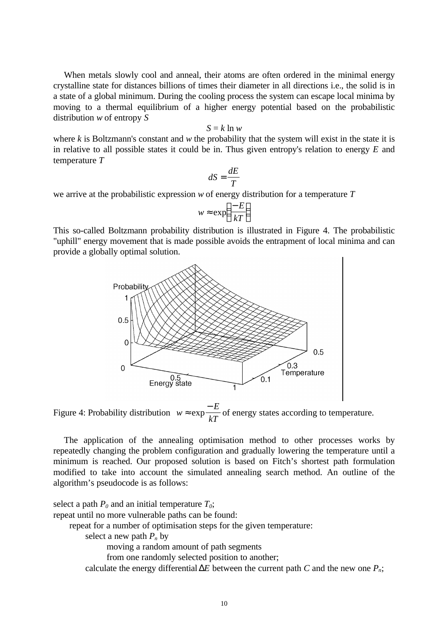When metals slowly cool and anneal, their atoms are often ordered in the minimal energy crystalline state for distances billions of times their diameter in all directions i.e., the solid is in a state of a global minimum. During the cooling process the system can escape local minima by moving to a thermal equilibrium of a higher energy potential based on the probabilistic distribution *w* of entropy *S*

$$
S = k \ln w
$$

where *k* is Boltzmann's constant and *w* the probability that the system will exist in the state it is in relative to all possible states it could be in. Thus given entropy's relation to energy *E* and temperature *T*

$$
dS = \frac{dE}{T}
$$

we arrive at the probabilistic expression *w* of energy distribution for a temperature *T*

$$
w \approx \exp\left(\frac{-E}{kT}\right)
$$

This so-called Boltzmann probability distribution is illustrated in Figure 4. The probabilistic "uphill" energy movement that is made possible avoids the entrapment of local minima and can provide a globally optimal solution.



Figure 4: Probability distribution *w*  $\approx \exp \frac{-E}{kT}$ −  $\exp\frac{E}{\sqrt{T}}$  of energy states according to temperature.

The application of the annealing optimisation method to other processes works by repeatedly changing the problem configuration and gradually lowering the temperature until a minimum is reached. Our proposed solution is based on Fitch's shortest path formulation modified to take into account the simulated annealing search method. An outline of the algorithm's pseudocode is as follows:

select a path  $P_0$  and an initial temperature  $T_0$ ; repeat until no more vulnerable paths can be found: repeat for a number of optimisation steps for the given temperature: select a new path  $P_n$  by moving a random amount of path segments from one randomly selected position to another; calculate the energy differential  $\Delta E$  between the current path *C* and the new one  $P_n$ ;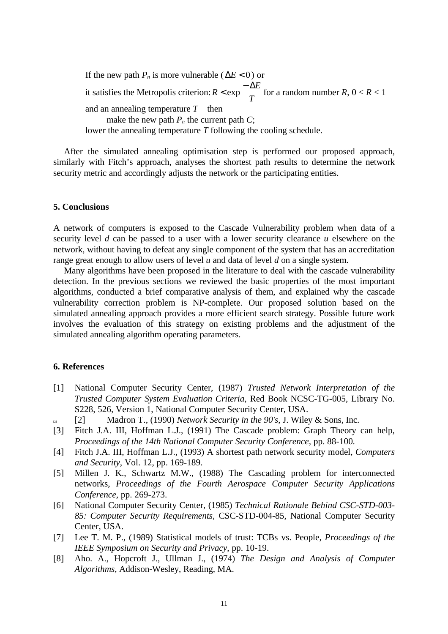If the new path  $P_n$  is more vulnerable ( $\Delta E < 0$ ) or it satisfies the Metropolis criterion: *R E T*  $\prec$ − exp Δ for a random number  $R$ ,  $0 < R < 1$ and an annealing temperature *T* then make the new path  $P_n$  the current path  $C$ ; lower the annealing temperature *T* following the cooling schedule.

After the simulated annealing optimisation step is performed our proposed approach, similarly with Fitch's approach, analyses the shortest path results to determine the network security metric and accordingly adjusts the network or the participating entities.

#### **5. Conclusions**

A network of computers is exposed to the Cascade Vulnerability problem when data of a security level *d* can be passed to a user with a lower security clearance *u* elsewhere on the network, without having to defeat any single component of the system that has an accreditation range great enough to allow users of level *u* and data of level *d* on a single system.

Many algorithms have been proposed in the literature to deal with the cascade vulnerability detection. In the previous sections we reviewed the basic properties of the most important algorithms, conducted a brief comparative analysis of them, and explained why the cascade vulnerability correction problem is NP-complete. Our proposed solution based on the simulated annealing approach provides a more efficient search strategy. Possible future work involves the evaluation of this strategy on existing problems and the adjustment of the simulated annealing algorithm operating parameters.

# **6. References**

- [1] National Computer Security Center, (1987) *Trusted Network Interpretation of the Trusted Computer System Evaluation Criteria*, Red Book NCSC-TG-005, Library No. S228, 526, Version 1, National Computer Security Center, USA.
- [2] [2] Madron T., (1990) *Network Security in the 90's*, J. Wiley & Sons, Inc.
- [3] Fitch J.A. III, Hoffman L.J., (1991) The Cascade problem: Graph Theory can help*, Proceedings of the 14th National Computer Security Conference,* pp. 88-100*.*
- [4] Fitch J.A. III, Hoffman L.J., (1993) A shortest path network security model, *Computers and Security*, Vol. 12, pp. 169-189.
- [5] Millen J. K., Schwartz M.W., (1988) The Cascading problem for interconnected networks, *Proceedings of the Fourth Aerospace Computer Security Applications Conference*, pp. 269-273.
- [6] National Computer Security Center, (1985) *Technical Rationale Behind CSC-STD-003- 85: Computer Security Requirements*, CSC-STD-004-85, National Computer Security Center, USA.
- [7] Lee T. M. P., (1989) Statistical models of trust: TCBs vs. People, *Proceedings of the IEEE Symposium on Security and Privacy*, pp. 10-19.
- [8] Aho. A., Hopcroft J., Ullman J., (1974) *The Design and Analysis of Computer Algorithms*, Addison-Wesley, Reading, MA.